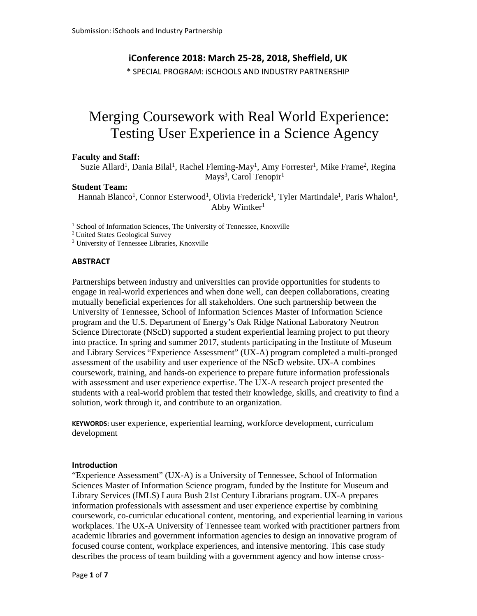## **iConference 2018: March 25-28, 2018, Sheffield, UK**

\* SPECIAL PROGRAM: iSCHOOLS AND INDUSTRY PARTNERSHIP

# Merging Coursework with Real World Experience: Testing User Experience in a Science Agency

#### **Faculty and Staff:**

Suzie Allard<sup>1</sup>, Dania Bilal<sup>1</sup>, Rachel Fleming-May<sup>1</sup>, Amy Forrester<sup>1</sup>, Mike Frame<sup>2</sup>, Regina Mays<sup>3</sup>, Carol Tenopir<sup>1</sup>

#### **Student Team:**

Hannah Blanco<sup>1</sup>, Connor Esterwood<sup>1</sup>, Olivia Frederick<sup>1</sup>, Tyler Martindale<sup>1</sup>, Paris Whalon<sup>1</sup>, Abby Wintker<sup>1</sup>

<sup>1</sup> School of Information Sciences, The University of Tennessee, Knoxville

<sup>2</sup> United States Geological Survey

<sup>3</sup> University of Tennessee Libraries, Knoxville

## **ABSTRACT**

Partnerships between industry and universities can provide opportunities for students to engage in real-world experiences and when done well, can deepen collaborations, creating mutually beneficial experiences for all stakeholders. One such partnership between the University of Tennessee, School of Information Sciences Master of Information Science program and the U.S. Department of Energy's Oak Ridge National Laboratory Neutron Science Directorate (NScD) supported a student experiential learning project to put theory into practice. In spring and summer 2017, students participating in the Institute of Museum and Library Services "Experience Assessment" (UX-A) program completed a multi-pronged assessment of the usability and user experience of the NScD website. UX-A combines coursework, training, and hands-on experience to prepare future information professionals with assessment and user experience expertise. The UX-A research project presented the students with a real-world problem that tested their knowledge, skills, and creativity to find a solution, work through it, and contribute to an organization.

**KEYWORDS:** user experience, experiential learning, workforce development, curriculum development

#### **Introduction**

"Experience Assessment" (UX-A) is a University of Tennessee, School of Information Sciences Master of Information Science program, funded by the Institute for Museum and Library Services (IMLS) Laura Bush 21st Century Librarians program. UX-A prepares information professionals with assessment and user experience expertise by combining coursework, co-curricular educational content, mentoring, and experiential learning in various workplaces. The UX-A University of Tennessee team worked with practitioner partners from academic libraries and government information agencies to design an innovative program of focused course content, workplace experiences, and intensive mentoring. This case study describes the process of team building with a government agency and how intense cross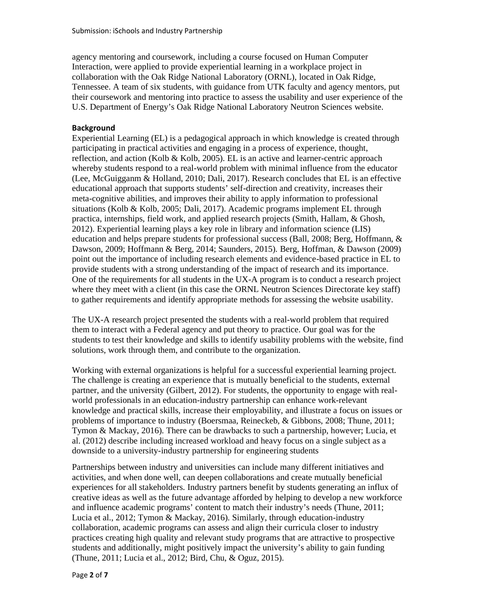agency mentoring and coursework, including a course focused on Human Computer Interaction, were applied to provide experiential learning in a workplace project in collaboration with the Oak Ridge National Laboratory (ORNL), located in Oak Ridge, Tennessee. A team of six students, with guidance from UTK faculty and agency mentors, put their coursework and mentoring into practice to assess the usability and user experience of the U.S. Department of Energy's Oak Ridge National Laboratory Neutron Sciences website.

# **Background**

Experiential Learning (EL) is a pedagogical approach in which knowledge is created through participating in practical activities and engaging in a process of experience, thought, reflection, and action (Kolb & Kolb, 2005). EL is an active and learner-centric approach whereby students respond to a real-world problem with minimal influence from the educator (Lee, McGuigganm & Holland, 2010; Dali, 2017). Research concludes that EL is an effective educational approach that supports students' self-direction and creativity, increases their meta-cognitive abilities, and improves their ability to apply information to professional situations (Kolb & Kolb, 2005; Dali, 2017). Academic programs implement EL through practica, internships, field work, and applied research projects (Smith, Hallam, & Ghosh, 2012). Experiential learning plays a key role in library and information science (LIS) education and helps prepare students for professional success (Ball, 2008; Berg, Hoffmann, & Dawson, 2009; Hoffmann & Berg, 2014; Saunders, 2015). Berg, Hoffman, & Dawson (2009) point out the importance of including research elements and evidence-based practice in EL to provide students with a strong understanding of the impact of research and its importance. One of the requirements for all students in the UX-A program is to conduct a research project where they meet with a client (in this case the ORNL Neutron Sciences Directorate key staff) to gather requirements and identify appropriate methods for assessing the website usability.

The UX-A research project presented the students with a real-world problem that required them to interact with a Federal agency and put theory to practice. Our goal was for the students to test their knowledge and skills to identify usability problems with the website, find solutions, work through them, and contribute to the organization.

Working with external organizations is helpful for a successful experiential learning project. The challenge is creating an experience that is mutually beneficial to the students, external partner, and the university (Gilbert, 2012). For students, the opportunity to engage with real world professionals in an education-industry partnership can enhance work-relevant knowledge and practical skills, increase their employability, and illustrate a focus on issues or problems of importance to industry (Boersmaa, Reineckeb, & Gibbons, 2008; Thune, 2011; Tymon & Mackay, 2016). There can be drawbacks to such a partnership, however; Lucia, et al. (2012) describe including increased workload and heavy focus on a single subject as a downside to a university-industry partnership for engineering students

Partnerships between industry and universities can include many different initiatives and activities, and when done well, can deepen collaborations and create mutually beneficial experiences for all stakeholders. Industry partners benefit by students generating an influx of creative ideas as well as the future advantage afforded by helping to develop a new workforce and influence academic programs' content to match their industry's needs (Thune, 2011; Lucia et al., 2012; Tymon & Mackay, 2016). Similarly, through education-industry collaboration, academic programs can assess and align their curricula closer to industry practices creating high quality and relevant study programs that are attractive to prospective students and additionally, might positively impact the university's ability to gain funding (Thune, 2011; Lucia et al., 2012; Bird, Chu, & Oguz, 2015).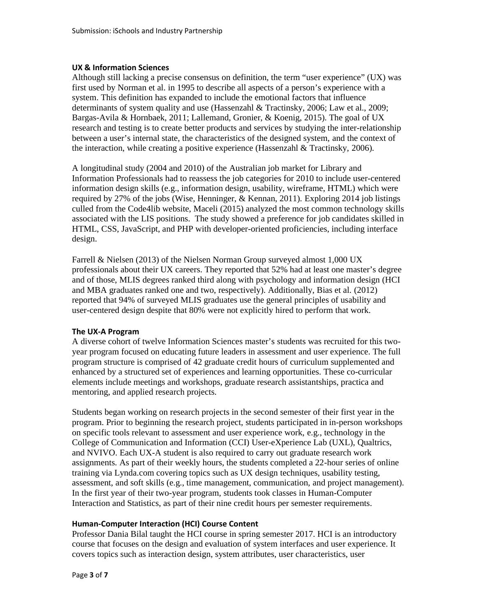## **UX & Information Sciences**

Although still lacking a precise consensus on definition, the term "user experience" (UX) was first used by Norman et al. in 1995 to describe all aspects of a person's experience with a system. This definition has expanded to include the emotional factors that influence determinants of system quality and use (Hassenzahl & Tractinsky, 2006; Law et al., 2009; Bargas-Avila & Hornbaek, 2011; Lallemand, Gronier, & Koenig, 2015). The goal of UX research and testing is to create better products and services by studying the inter-relationship between a user's internal state, the characteristics of the designed system, and the context of the interaction, while creating a positive experience (Hassenzahl & Tractinsky, 2006).

A longitudinal study (2004 and 2010) of the Australian job market for Library and Information Professionals had to reassess the job categories for 2010 to include user-centered information design skills (e.g., information design, usability, wireframe, HTML) which were required by 27% of the jobs (Wise, Henninger, & Kennan, 2011). Exploring 2014 job listings culled from the Code4lib website, Maceli (2015) analyzed the most common technology skills associated with the LIS positions. The study showed a preference for job candidates skilled in HTML, CSS, JavaScript, and PHP with developer-oriented proficiencies, including interface design.

Farrell & Nielsen (2013) of the Nielsen Norman Group surveyed almost 1,000 UX professionals about their UX careers. They reported that 52% had at least one master's degree and of those, MLIS degrees ranked third along with psychology and information design (HCI and MBA graduates ranked one and two, respectively). Additionally, Bias et al. (2012) reported that 94% of surveyed MLIS graduates use the general principles of usability and user-centered design despite that 80% were not explicitly hired to perform that work.

## **The UX-A Program**

A diverse cohort of twelve Information Sciences master's students was recruited for this two year program focused on educating future leaders in assessment and user experience. The full program structure is comprised of 42 graduate credit hours of curriculum supplemented and enhanced by a structured set of experiences and learning opportunities. These co-curricular elements include meetings and workshops, graduate research assistantships, practica and mentoring, and applied research projects.

Students began working on research projects in the second semester of their first year in the program. Prior to beginning the research project, students participated in in-person workshops on specific tools relevant to assessment and user experience work, e.g., technology in the College of Communication and Information (CCI) User-eXperience Lab (UXL), Qualtrics, and NVIVO. Each UX-A student is also required to carry out graduate research work assignments. As part of their weekly hours, the students completed a 22-hour series of online training via Lynda.com covering topics such as UX design techniques, usability testing, assessment, and soft skills (e.g., time management, communication, and project management). In the first year of their two-year program, students took classes in Human-Computer Interaction and Statistics, as part of their nine credit hours per semester requirements.

## **Human-Computer Interaction (HCI) Course Content**

Professor Dania Bilal taught the HCI course in spring semester 2017. HCI is an introductory course that focuses on the design and evaluation of system interfaces and user experience. It covers topics such as interaction design, system attributes, user characteristics, user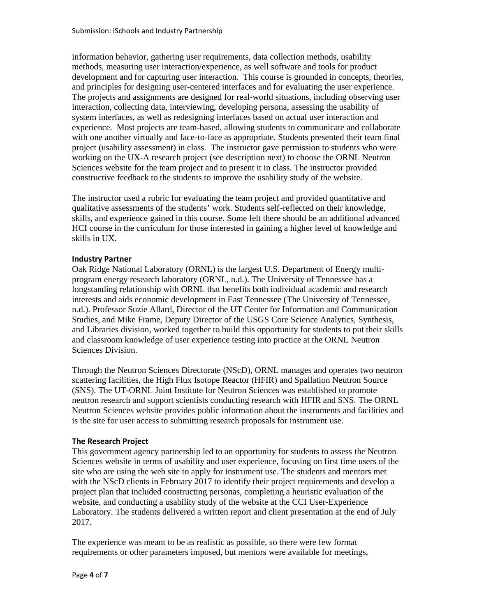information behavior, gathering user requirements, data collection methods, usability methods, measuring user interaction/experience, as well software and tools for product development and for capturing user interaction. This course is grounded in concepts, theories, and principles for designing user-centered interfaces and for evaluating the user experience. The projects and assignments are designed for real-world situations, including observing user interaction, collecting data, interviewing, developing persona, assessing the usability of system interfaces, as well as redesigning interfaces based on actual user interaction and experience. Most projects are team-based, allowing students to communicate and collaborate with one another virtually and face-to-face as appropriate. Students presented their team final project (usability assessment) in class. The instructor gave permission to students who were working on the UX-A research project (see description next) to choose the ORNL Neutron Sciences website for the team project and to present it in class. The instructor provided constructive feedback to the students to improve the usability study of the website.

The instructor used a rubric for evaluating the team project and provided quantitative and qualitative assessments of the students' work. Students self-reflected on their knowledge, skills, and experience gained in this course. Some felt there should be an additional advanced HCI course in the curriculum for those interested in gaining a higher level of knowledge and skills in UX.

## **Industry Partner**

Oak Ridge National Laboratory (ORNL) is the largest U.S. Department of Energy multi program energy research laboratory (ORNL, n.d.). The University of Tennessee has a longstanding relationship with ORNL that benefits both individual academic and research interests and aids economic development in East Tennessee (The University of Tennessee, n.d.). Professor Suzie Allard, Director of the UT Center for Information and Communication Studies, and Mike Frame, Deputy Director of the USGS Core Science Analytics, Synthesis, and Libraries division, worked together to build this opportunity for students to put their skills and classroom knowledge of user experience testing into practice at the ORNL Neutron Sciences Division.

Through the Neutron Sciences Directorate (NScD), ORNL manages and operates two neutron scattering facilities, the High Flux Isotope Reactor (HFIR) and Spallation Neutron Source (SNS). The UT-ORNL Joint Institute for Neutron Sciences was established to promote neutron research and support scientists conducting research with HFIR and SNS. The ORNL Neutron Sciences website provides public information about the instruments and facilities and is the site for user access to submitting research proposals for instrument use.

# **The Research Project**

This government agency partnership led to an opportunity for students to assess the Neutron Sciences website in terms of usability and user experience, focusing on first time users of the site who are using the web site to apply for instrument use. The students and mentors met with the NScD clients in February 2017 to identify their project requirements and develop a project plan that included constructing personas, completing a heuristic evaluation of the website, and conducting a usability study of the website at the CCI User-Experience Laboratory. The students delivered a written report and client presentation at the end of July 2017.

The experience was meant to be as realistic as possible, so there were few format requirements or other parameters imposed, but mentors were available for meetings,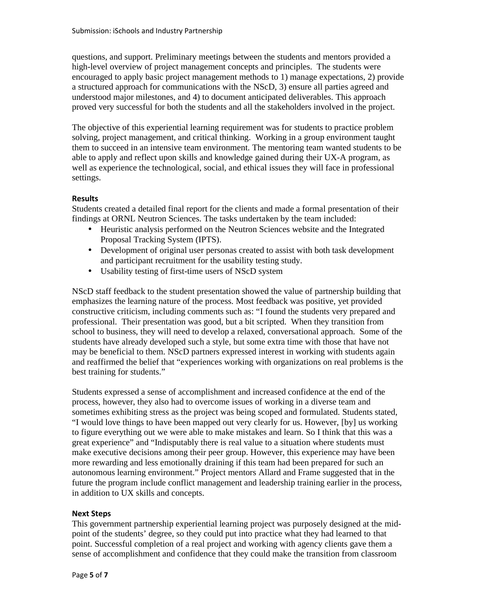questions, and support. Preliminary meetings between the students and mentors provided a high-level overview of project management concepts and principles. The students were encouraged to apply basic project management methods to 1) manage expectations, 2) provide a structured approach for communications with the NScD, 3) ensure all parties agreed and understood major milestones, and 4) to document anticipated deliverables. This approach proved very successful for both the students and all the stakeholders involved in the project.

The objective of this experiential learning requirement was for students to practice problem solving, project management, and critical thinking. Working in a group environment taught them to succeed in an intensive team environment. The mentoring team wanted students to be able to apply and reflect upon skills and knowledge gained during their UX-A program, as well as experience the technological, social, and ethical issues they will face in professional settings.

# **Results**

Students created a detailed final report for the clients and made a formal presentation of their findings at ORNL Neutron Sciences. The tasks undertaken by the team included:

- Heuristic analysis performed on the Neutron Sciences website and the Integrated Proposal Tracking System (IPTS).
- Development of original user personas created to assist with both task development and participant recruitment for the usability testing study.
- Usability testing of first-time users of NScD system

NScD staff feedback to the student presentation showed the value of partnership building that emphasizes the learning nature of the process. Most feedback was positive, yet provided constructive criticism, including comments such as: "I found the students very prepared and professional. Their presentation was good, but a bit scripted. When they transition from school to business, they will need to develop a relaxed, conversational approach. Some of the students have already developed such a style, but some extra time with those that have not may be beneficial to them. NScD partners expressed interest in working with students again and reaffirmed the belief that "experiences working with organizations on real problems is the best training for students."

Students expressed a sense of accomplishment and increased confidence at the end of the process, however, they also had to overcome issues of working in a diverse team and sometimes exhibiting stress as the project was being scoped and formulated. Students stated, "I would love things to have been mapped out very clearly for us. However, [by] us working to figure everything out we were able to make mistakes and learn. So I think that this was a great experience" and "Indisputably there is real value to a situation where students must make executive decisions among their peer group. However, this experience may have been more rewarding and less emotionally draining if this team had been prepared for such an autonomous learning environment." Project mentors Allard and Frame suggested that in the future the program include conflict management and leadership training earlier in the process, in addition to UX skills and concepts.

## **Next Steps**

This government partnership experiential learning project was purposely designed at the mid point of the students' degree, so they could put into practice what they had learned to that point. Successful completion of a real project and working with agency clients gave them a sense of accomplishment and confidence that they could make the transition from classroom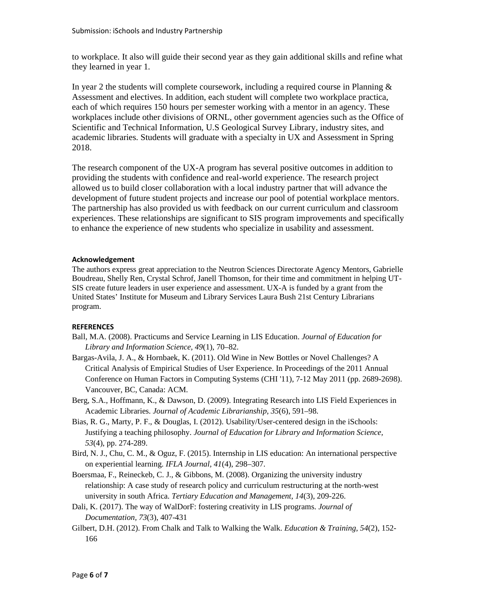to workplace. It also will guide their second year as they gain additional skills and refine what they learned in year 1.

In year 2 the students will complete coursework, including a required course in Planning & Assessment and electives. In addition, each student will complete two workplace practica, each of which requires 150 hours per semester working with a mentor in an agency. These workplaces include other divisions of ORNL, other government agencies such as the Office of Scientific and Technical Information, U.S Geological Survey Library, industry sites, and academic libraries. Students will graduate with a specialty in UX and Assessment in Spring 2018.

The research component of the UX-A program has several positive outcomes in addition to providing the students with confidence and real-world experience. The research project allowed us to build closer collaboration with a local industry partner that will advance the development of future student projects and increase our pool of potential workplace mentors. The partnership has also provided us with feedback on our current curriculum and classroom experiences. These relationships are significant to SIS program improvements and specifically to enhance the experience of new students who specialize in usability and assessment.

#### **Acknowledgement**

The authors express great appreciation to the Neutron Sciences Directorate Agency Mentors, Gabrielle Boudreau, Shelly Ren, Crystal Schrof, Janell Thomson, for their time and commitment in helping UT- SIS create future leaders in user experience and assessment. UX-A is funded by a grant from the United States' Institute for Museum and Library Services Laura Bush 21st Century Librarians program.

## **REFERENCES**

- Ball, M.A. (2008). Practicums and Service Learning in LIS Education. *Journal of Education for Library and Information Science, 49*(1), 70–82.
- Bargas-Avila, J. A., & Hornbaek, K. (2011). Old Wine in New Bottles or Novel Challenges? A Critical Analysis of Empirical Studies of User Experience. In Proceedings of the 2011 Annual Conference on Human Factors in Computing Systems (CHI '11), 7-12 May 2011 (pp. 2689-2698). Vancouver, BC, Canada: ACM.
- Berg, S.A., Hoffmann, K., & Dawson, D. (2009). Integrating Research into LIS Field Experiences in Academic Libraries. *Journal of Academic Librarianship, 35*(6), 591–98.
- Bias, R. G., Marty, P. F., & Douglas, I. (2012). Usability/User-centered design in the iSchools: Justifying a teaching philosophy. *Journal of Education for Library and Information Science, 53*(4), pp. 274-289.
- Bird, N. J., Chu, C. M., & Oguz, F. (2015). Internship in LIS education: An international perspective on experiential learning. *IFLA Journal, 41*(4), 298–307.
- Boersmaa, F., Reineckeb, C. J., & Gibbons, M. (2008). Organizing the university industry relationship: A case study of research policy and curriculum restructuring at the north-west university in south Africa. *Tertiary Education and Management, 14*(3), 209-226.
- Dali, K. (2017). The way of WalDorF: fostering creativity in LIS programs. *Journal of Documentation, 73*(3), 407-431
- Gilbert, D.H. (2012). From Chalk and Talk to Walking the Walk. *Education & Training, 54*(2), 152- 166